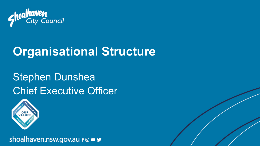

# **Organisational Structure**

# Stephen Dunshea Chief Executive Officer



shoalhaven.nsw.gov.au f @ ■ y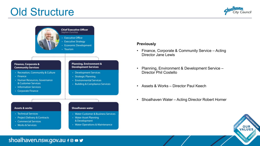### Old Structure





#### **Previously**

- Finance, Corporate & Community Service Acting Director Jane Lewis
- Planning, Environment & Development Service Director Phil Costello
- Assets & Works Director Paul Keech
- Shoalhaven Water Acting Director Robert Horner



#### shoalhaven.nsw.gov.au f @ **B**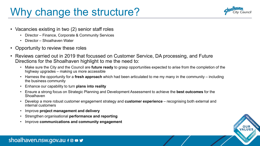### Why change the structure?



- Vacancies existing in two (2) senior staff roles
	- Director Finance, Corporate & Community Services
	- Director Shoalhaven Water
- Opportunity to review these roles
- Reviews carried out in 2019 that focussed on Customer Service, DA processing, and Future Directions for the Shoalhaven highlight to me the need to:
	- Make sure the City and the Council are **future ready** to grasp opportunities expected to arise from the completion of the highway upgrades – making us more accessible
	- Harness the opportunity for a **fresh approach** which had been articulated to me my many in the community including the business community
	- Enhance our capability to turn **plans into reality**
	- Ensure a strong focus on Strategic Planning and Development Assessment to achieve the **best outcomes** for the Shoalhaven
	- Develop a more robust customer engagement strategy and **customer experience** recognising both external and internal customers
	- Improve **project management and delivery**
	- Strengthen organisational **performance and reporting**
	- Improve **communications and community engagement**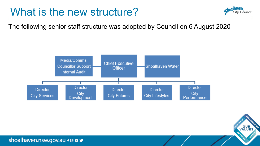### What is the new structure?



The following senior staff structure was adopted by Council on 6 August 2020





shoalhaven.nsw.gov.au f @ **B** y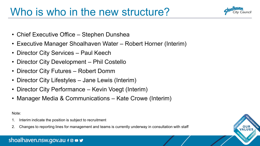

- Chief Executive Office Stephen Dunshea
- Executive Manager Shoalhaven Water Robert Horner (Interim)
- Director City Services Paul Keech
- Director City Development Phil Costello
- Director City Futures Robert Domm
- Director City Lifestyles Jane Lewis (Interim)
- Director City Performance Kevin Voegt (Interim)
- Manager Media & Communications Kate Crowe (Interim)

Note:

- Interim indicate the position is subject to recruitment
- 2. Changes to reporting lines for management and teams is currently underway in consultation with staff

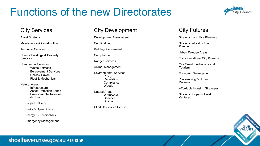## Functions of the new Directorates



#### City Services

Asset Strategy

Maintenance & Construction

Technical Services

Council Buildings & Property Services

Commercial Services Waste Services Bereavement Services Holiday Haven Fleet & Mechanical

Natural Areas **Infrastructure** Asset Protection Zones Environmental Reviews (REFs)

- Project Delivery
- Parks & Open Space
- Energy & Sustainability
- Emergency Management

#### City Development

Development Assessment

**Certification** 

Building Assessment

**Compliance** 

Ranger Services

Animal Management

Environmental Services Policy Regulation **Compliance Weeds** 

Natural Areas **Waterways** Beaches Bushland

Ulladulla Service Centre

### City Futures

Strategic Land Use Planning

Strategic Infrastructure Planning

Urban Release Areas

Transformational City Projects

City Growth, Advocacy and Tourism

Economic Development

Placemaking & Urban Renewal

Affordable Housing Strategies

Strategic Property Asset **Ventures** 



### shoalhaven.nsw.gov.au f @ **B** y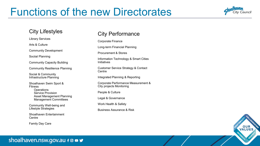### Functions of the new Directorates



#### City Lifestyles

Library Services

Arts & Culture

Community Development

Sociial Planning

Community Capacity Building

Community Resiliience Planning

Social & Community Infrastructure Planning

Shoalhaven Swim Sport & **Fitness Operations** Service Provision Asset Management Planning Management Committees

Community Well-being and Lifestyle Strategies

Shoalhaven Entertainment **Centre** 

Family Day Care

#### City Performance

Corporate Finance

Long-term Financial Planning

Procurement & Stores

Information Technology & Smart Cities Initiatives

Customer Service Strategy & Contact **Centre** 

Integrated Planning & Reporting

Corporate Performance Measurement & City projects Monitoring

People & Culture

Legal & Governance

Work Health & Safety

Business Assurance & Risk



#### shoalhaven.nsw.gov.au f @ **B** y